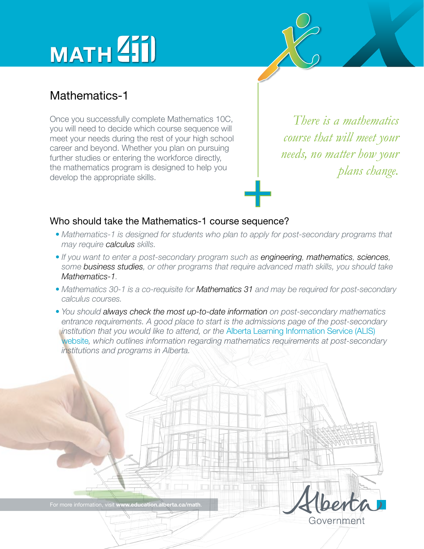# MATH<sup>Z</sup>iil

### Mathematics-1

Once you successfully complete Mathematics 10C, you will need to decide which course sequence will meet your needs during the rest of your high school career and beyond. Whether you plan on pursuing further studies or entering the workforce directly, the mathematics program is designed to help you develop the appropriate skills.

*There is a mathematics course that will meet your needs, no matter how your plans change.*

### Who should take the Mathematics-1 course sequence?  $\frac{1}{\sqrt{2}}$

- *Mathematics-1 is designed for students who plan to apply for post-secondary programs that may require calculus skills.*
- *If you want to enter a post-secondary program such as engineering, mathematics, sciences, some business studies, or other programs that require advanced math skills, you should take Mathematics-1.*
- *Mathematics 30-1 is a co-requisite for Mathematics 31 and may be required for post-secondary calculus courses.*
- *You should always check the most up-to-date information on post-secondary mathematics entrance requirements. A good place to start is the admissions page of the post-secondary institution that you would like to attend, or the* [Alberta Learning Information Service \(ALIS\)](http://alis.alberta.ca/ps/tsp/ta/hsequivadm/highschoolmathrequirements.html)  [website](http://alis.alberta.ca/ps/tsp/ta/hsequivadm/highschoolmathrequirements.html)*, which outlines information regarding mathematics requirements at post-secondary institutions and programs in Alberta.*

| For more information, visit www.education.alberta.ca/math. | Alberta |
|------------------------------------------------------------|---------|
|                                                            |         |
|                                                            |         |
|                                                            |         |